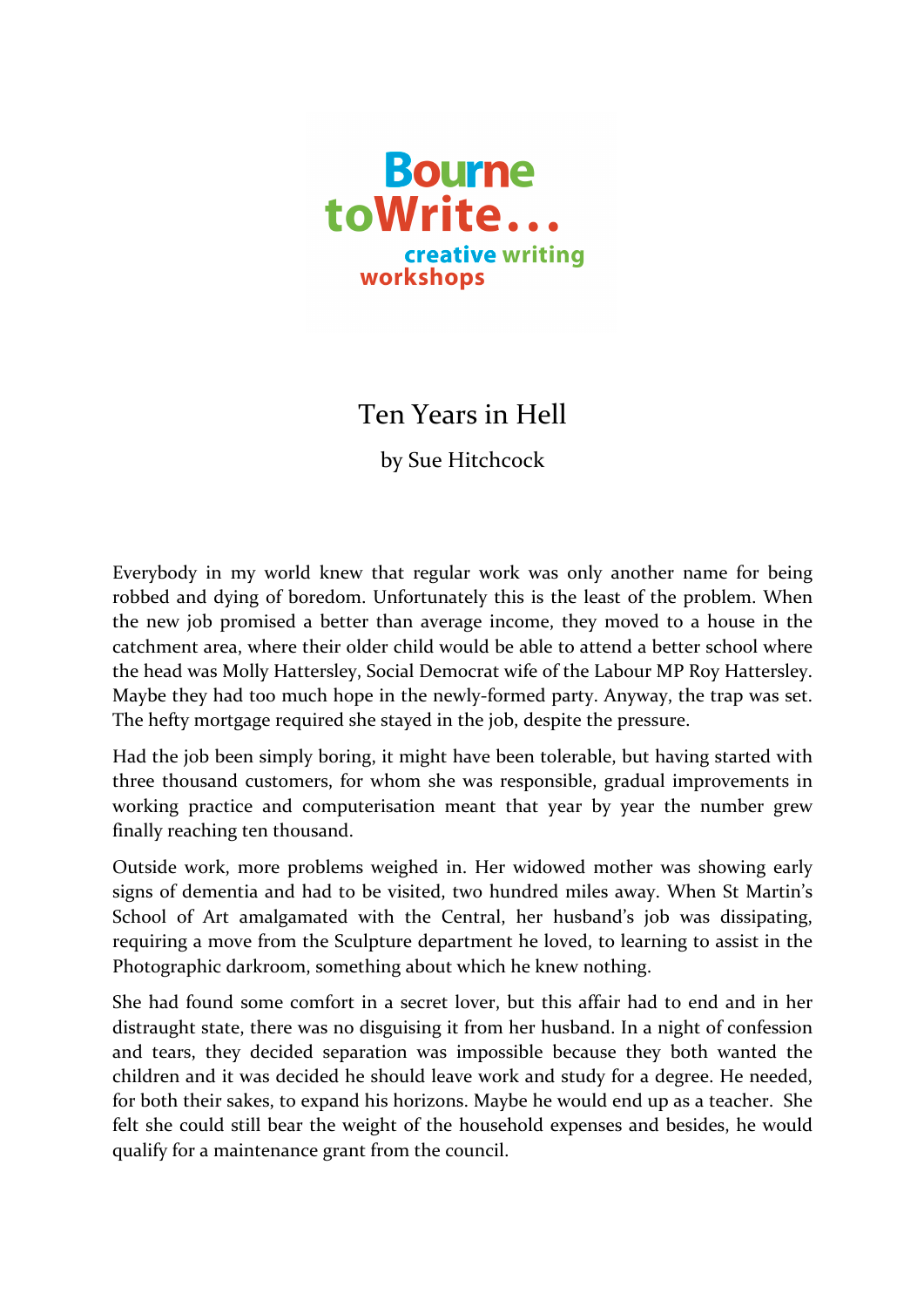

## Ten Years in Hell

by Sue Hitchcock

Everybody in my world knew that regular work was only another name for being robbed and dying of boredom. Unfortunately this is the least of the problem. When the new job promised a better than average income, they moved to a house in the catchment area, where their older child would be able to attend a better school where the head was Molly Hattersley, Social Democrat wife of the Labour MP Roy Hattersley. Maybe they had too much hope in the newly-formed party. Anyway, the trap was set. The hefty mortgage required she stayed in the job, despite the pressure.

Had the job been simply boring, it might have been tolerable, but having started with three thousand customers, for whom she was responsible, gradual improvements in working practice and computerisation meant that year by year the number grew finally reaching ten thousand.

Outside work, more problems weighed in. Her widowed mother was showing early signs of dementia and had to be visited, two hundred miles away. When St Martin's School of Art amalgamated with the Central, her husband's job was dissipating, requiring a move from the Sculpture department he loved, to learning to assist in the Photographic darkroom, something about which he knew nothing.

She had found some comfort in a secret lover, but this affair had to end and in her distraught state, there was no disguising it from her husband. In a night of confession and tears, they decided separation was impossible because they both wanted the children and it was decided he should leave work and study for a degree. He needed, for both their sakes, to expand his horizons. Maybe he would end up as a teacher. She felt she could still bear the weight of the household expenses and besides, he would qualify for a maintenance grant from the council.